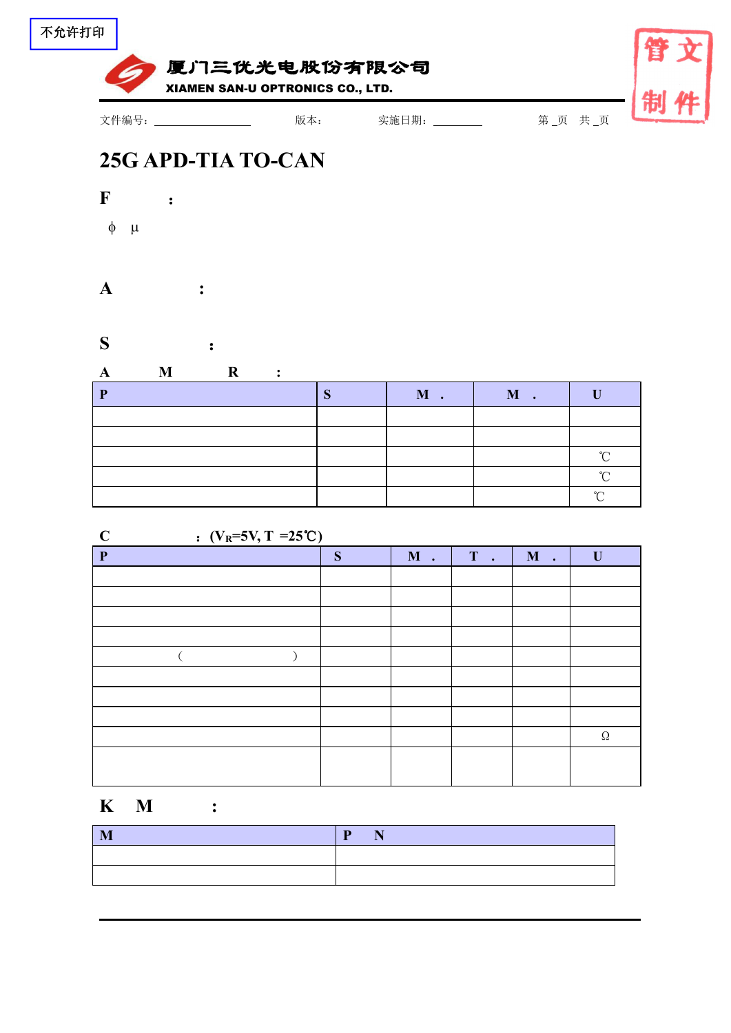



## **25G APD-TIA TO-CAN**



## **A :**

## **S** :

|  |  | M | RЛ<br>TAT |        |
|--|--|---|-----------|--------|
|  |  |   |           |        |
|  |  |   |           |        |
|  |  |   |           | $\sim$ |
|  |  |   |           | $\sim$ |
|  |  |   |           |        |

| $\mathbf C$  | : $(V_R=5V, T = 25^{\circ}C)$ |   |       |                |                |             |  |
|--------------|-------------------------------|---|-------|----------------|----------------|-------------|--|
| $\mathbf{P}$ |                               | S | $M$ . | T<br>$\bullet$ | M<br>$\bullet$ | $\mathbf U$ |  |
|              |                               |   |       |                |                |             |  |
|              |                               |   |       |                |                |             |  |
|              |                               |   |       |                |                |             |  |
|              |                               |   |       |                |                |             |  |
|              |                               |   |       |                |                |             |  |
|              |                               |   |       |                |                |             |  |
|              |                               |   |       |                |                |             |  |
|              |                               |   |       |                |                |             |  |
|              |                               |   |       |                |                | $\Omega$    |  |
|              |                               |   |       |                |                |             |  |
|              |                               |   |       |                |                |             |  |

## **K M :**

| M | D |
|---|---|
|   |   |
|   |   |